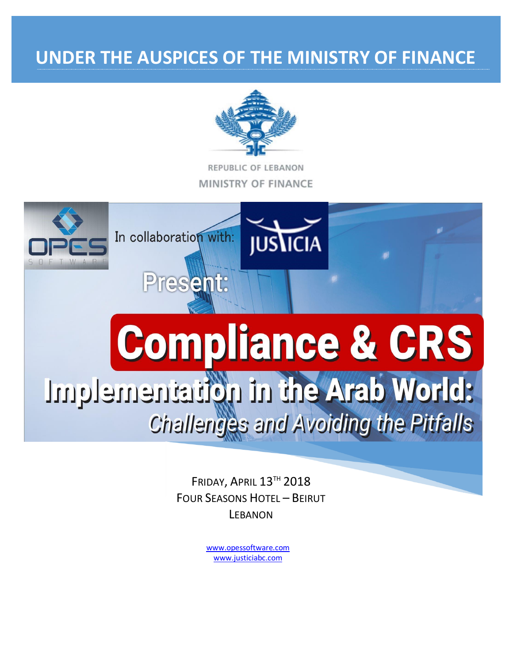# UNDER THE AUSPICES OF THE MINISTRY OF FINANCE



REPUBLIC OF LEBANON **MINISTRY OF FINANCE** 



FRIDAY, APRIL 13TH 2018 **FOUR SEASONS HOTEL - BEIRUT LEBANON** 

> www.opessoftware.com www.justiciabc.com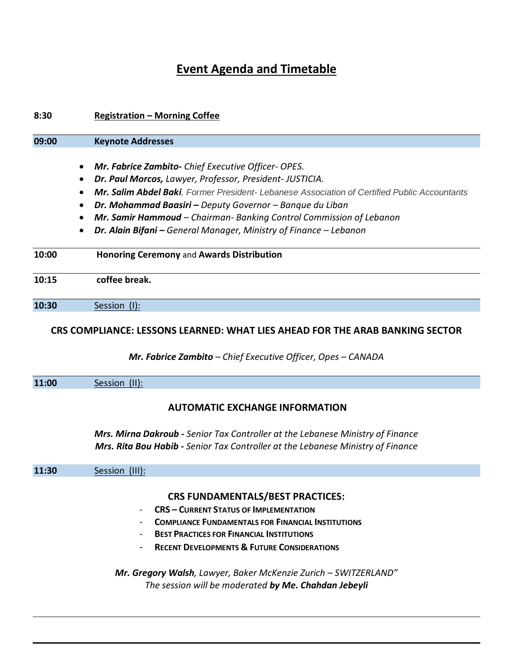# **Event Agenda and Timetable**

| 8:30  | <b>Registration - Morning Coffee</b>                                                                                                                |
|-------|-----------------------------------------------------------------------------------------------------------------------------------------------------|
| 09:00 | <b>Keynote Addresses</b>                                                                                                                            |
|       |                                                                                                                                                     |
|       | Mr. Fabrice Zambito- Chief Executive Officer- OPES.                                                                                                 |
|       | Dr. Paul Morcos, Lawyer, Professor, President- JUSTICIA.                                                                                            |
|       | Mr. Salim Abdel Baki, Former President- Lebanese Association of Certified Public Accountants                                                        |
|       | Dr. Mohammad Baasiri - Deputy Governor - Banque du Liban                                                                                            |
|       | Mr. Samir Hammoud - Chairman- Banking Control Commission of Lebanon                                                                                 |
|       | Dr. Alain Bifani - General Manager, Ministry of Finance - Lebanon                                                                                   |
| 10:00 | <b>Honoring Ceremony and Awards Distribution</b>                                                                                                    |
| 10:15 | coffee break.                                                                                                                                       |
| 10:30 | Session (I):                                                                                                                                        |
|       | CRS COMPLIANCE: LESSONS LEARNED: WHAT LIES AHEAD FOR THE ARAB BANKING SECTOR<br><b>Mr. Fabrice Zambito</b> – Chief Executive Officer, Opes – CANADA |
| 11:00 | Session (II):                                                                                                                                       |
|       | <b>AUTOMATIC EXCHANGE INFORMATION</b>                                                                                                               |

*Mrs. Mirna Dakroub - Senior Tax Controller at the Lebanese Ministry of Finance Mrs. Rita Bou Habib - Senior Tax Controller at the Lebanese Ministry of Finance*

| 11:30 | Session (III): |                                                                 |
|-------|----------------|-----------------------------------------------------------------|
|       |                |                                                                 |
|       |                | <b>CRS FUNDAMENTALS/BEST PRACTICES:</b>                         |
|       | $\sim$         | <b>CRS - CURRENT STATUS OF IMPLEMENTATION</b>                   |
|       | $\sim$         | <b>COMPLIANCE FUNDAMENTALS FOR FINANCIAL INSTITUTIONS</b>       |
|       | $\blacksquare$ | <b>BEST PRACTICES FOR FINANCIAL INSTITUTIONS</b>                |
|       | $\sim$ $-$     | <b>RECENT DEVELOPMENTS &amp; FUTURE CONSIDERATIONS</b>          |
|       |                |                                                                 |
|       |                | Mr. Gregory Walsh, Lawyer, Baker McKenzie Zurich - SWITZERLAND" |

*The session will be moderated by Me. Chahdan Jebeyli*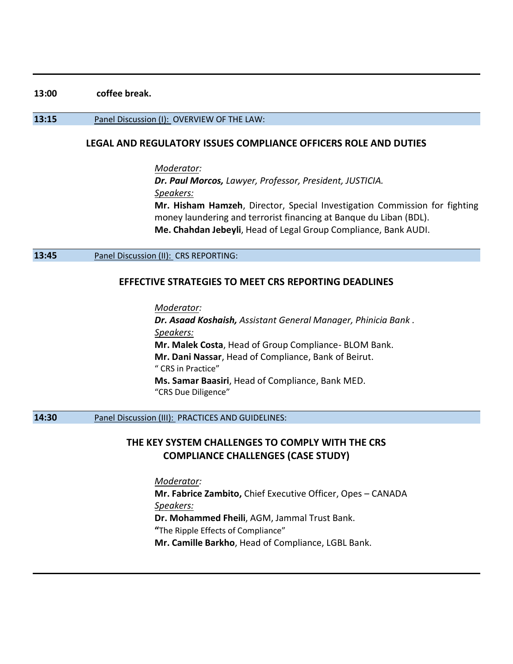#### **13:00 coffee break.**

#### **13:15** Panel Discussion (I): OVERVIEW OF THE LAW:

### **LEGAL AND REGULATORY ISSUES COMPLIANCE OFFICERS ROLE AND DUTIES**

*Moderator: Dr. Paul Morcos, Lawyer, Professor, President, JUSTICIA. Speakers:* **Mr. Hisham Hamzeh**, Director, Special Investigation Commission for fighting money laundering and terrorist financing at Banque du Liban (BDL). **Me. Chahdan Jebeyli**, Head of Legal Group Compliance, Bank AUDI.

#### **13:45** Panel Discussion (II): CRS REPORTING:

#### **EFFECTIVE STRATEGIES TO MEET CRS REPORTING DEADLINES**

*Moderator: Dr. Asaad Koshaish, Assistant General Manager, Phinicia Bank . Speakers:* **Mr. Malek Costa**, Head of Group Compliance- BLOM Bank. **Mr. Dani Nassar**, Head of Compliance, Bank of Beirut. " CRS in Practice" **Ms. Samar Baasiri**, Head of Compliance, Bank MED. "CRS Due Diligence"

## **14:30** Panel Discussion (III): PRACTICES AND GUIDELINES:

# **THE KEY SYSTEM CHALLENGES TO COMPLY WITH THE CRS COMPLIANCE CHALLENGES (CASE STUDY)**

*Moderator:* **Mr. Fabrice Zambito,** Chief Executive Officer, Opes – CANADA *Speakers:* **Dr. Mohammed Fheili**, AGM, Jammal Trust Bank. **"**The Ripple Effects of Compliance" **Mr. Camille Barkho**, Head of Compliance, LGBL Bank.